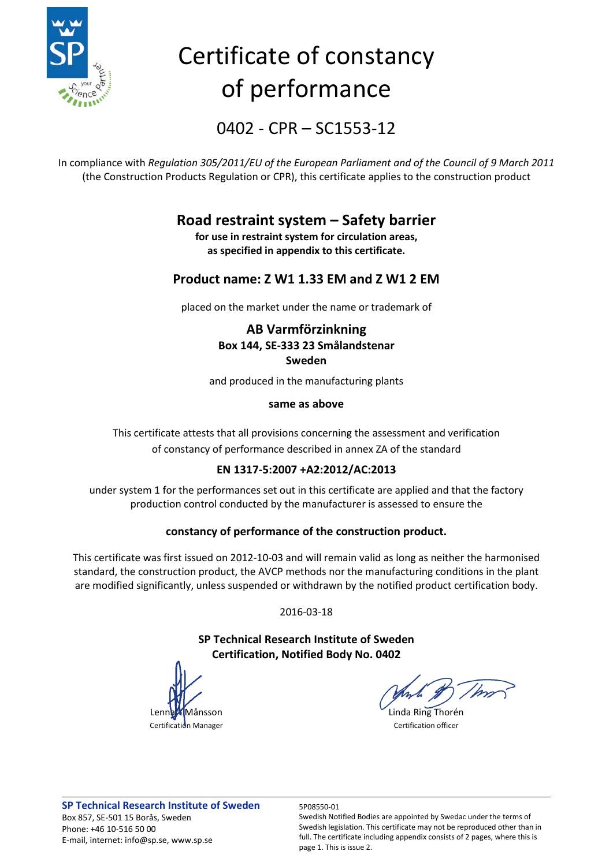

# Certificate of constancy of performance

0402 - CPR – SC1553-12

In compliance with *Regulation 305/2011/EU of the European Parliament and of the Council of 9 March 2011* (the Construction Products Regulation or CPR), this certificate applies to the construction product

## **Road restraint system – Safety barrier**

**for use in restraint system for circulation areas, as specified in appendix to this certificate.**

### **Product name: Z W1 1.33 EM and Z W1 2 EM**

placed on the market under the name or trademark of

### **AB Varmförzinkning Box 144, SE-333 23 Smålandstenar Sweden**

and produced in the manufacturing plants

### **same as above**

This certificate attests that all provisions concerning the assessment and verification of constancy of performance described in annex ZA of the standard

### **EN 1317-5:2007 +A2:2012/AC:2013**

under system 1 for the performances set out in this certificate are applied and that the factory production control conducted by the manufacturer is assessed to ensure the

### **constancy of performance of the construction product.**

This certificate was first issued on 2012-10-03 and will remain valid as long as neither the harmonised standard, the construction product, the AVCP methods nor the manufacturing conditions in the plant are modified significantly, unless suspended or withdrawn by the notified product certification body.

2016-03-18

**SP Technical Research Institute of Sweden Certification, Notified Body No. 0402**

Månsson **Linda Ring Thorén** Certification Manager **Certification Certification** 

Swedish Notified Bodies are appointed by Swedac under the terms of Swedish legislation. This certificate may not be reproduced other than in full. The certificate including appendix consists of 2 pages, where this is page 1. This is issue 2.